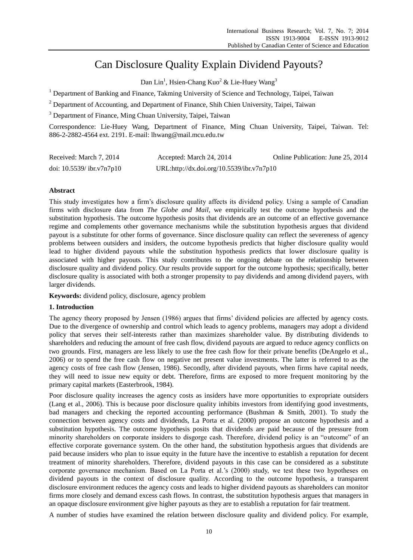# Can Disclosure Quality Explain Dividend Payouts?

Dan Lin<sup>1</sup>, Hsien-Chang Kuo<sup>2</sup> & Lie-Huey Wang<sup>3</sup>

<sup>1</sup> Department of Banking and Finance, Takming University of Science and Technology, Taipei, Taiwan

<sup>2</sup> Department of Accounting, and Department of Finance, Shih Chien University, Taipei, Taiwan

<sup>3</sup> Department of Finance, Ming Chuan University, Taipei, Taiwan

Correspondence: Lie-Huey Wang, Department of Finance, Ming Chuan University, Taipei, Taiwan. Tel: 886-2-2882-4564 ext. 2191. E-mail: lhwang@mail.mcu.edu.tw

| Received: March 7, 2014      | Accepted: March 24, 2014                  | Online Publication: June 25, 2014 |
|------------------------------|-------------------------------------------|-----------------------------------|
| doi: $10.5539$ / ibr.v7n7p10 | URL:http://dx.doi.org/10.5539/ibr.v7n7p10 |                                   |

# **Abstract**

This study investigates how a firm's disclosure quality affects its dividend policy. Using a sample of Canadian firms with disclosure data from *The Globe and Mail*, we empirically test the outcome hypothesis and the substitution hypothesis. The outcome hypothesis posits that dividends are an outcome of an effective governance regime and complements other governance mechanisms while the substitution hypothesis argues that dividend payout is a substitute for other forms of governance. Since disclosure quality can reflect the severeness of agency problems between outsiders and insiders, the outcome hypothesis predicts that higher disclosure quality would lead to higher dividend payouts while the substitution hypothesis predicts that lower disclosure quality is associated with higher payouts. This study contributes to the ongoing debate on the relationship between disclosure quality and dividend policy. Our results provide support for the outcome hypothesis; specifically, better disclosure quality is associated with both a stronger propensity to pay dividends and among dividend payers, with larger dividends.

**Keywords:** dividend policy, disclosure, agency problem

# **1. Introduction**

The agency theory proposed by Jensen (1986) argues that firms' dividend policies are affected by agency costs. Due to the divergence of ownership and control which leads to agency problems, managers may adopt a dividend policy that serves their self-interests rather than maximizes shareholder value. By distributing dividends to shareholders and reducing the amount of free cash flow, dividend payouts are argued to reduce agency conflicts on two grounds. First, managers are less likely to use the free cash flow for their private benefits (DeAngelo et al., 2006) or to spend the free cash flow on negative net present value investments. The latter is referred to as the agency costs of free cash flow (Jensen, 1986). Secondly, after dividend payouts, when firms have capital needs, they will need to issue new equity or debt. Therefore, firms are exposed to more frequent monitoring by the primary capital markets (Easterbrook, 1984).

Poor disclosure quality increases the agency costs as insiders have more opportunities to expropriate outsiders (Lang et al., 2006). This is because poor disclosure quality inhibits investors from identifying good investments, bad managers and checking the reported accounting performance (Bushman & Smith, 2001). To study the connection between agency costs and dividends, La Porta et al. (2000) propose an outcome hypothesis and a substitution hypothesis. The outcome hypothesis posits that dividends are paid because of the pressure from minority shareholders on corporate insiders to disgorge cash. Therefore, dividend policy is an "outcome" of an effective corporate governance system. On the other hand, the substitution hypothesis argues that dividends are paid because insiders who plan to issue equity in the future have the incentive to establish a reputation for decent treatment of minority shareholders. Therefore, dividend payouts in this case can be considered as a substitute corporate governance mechanism. Based on La Porta et al.'s (2000) study, we test these two hypotheses on dividend payouts in the context of disclosure quality. According to the outcome hypothesis, a transparent disclosure environment reduces the agency costs and leads to higher dividend payouts as shareholders can monitor firms more closely and demand excess cash flows. In contrast, the substitution hypothesis argues that managers in an opaque disclosure environment give higher payouts as they are to establish a reputation for fair treatment.

A number of studies have examined the relation between disclosure quality and dividend policy. For example,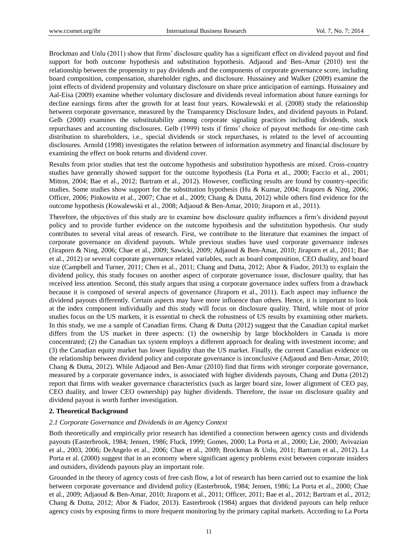Brockman and Unlu (2011) show that firms' disclosure quality has a significant effect on dividend payout and find support for both outcome hypothesis and substitution hypothesis. Adjaoud and Ben-Amar (2010) test the relationship between the propensity to pay dividends and the components of corporate governance score, including board composition, compensation, shareholder rights, and disclosure. Hussainey and Walker (2009) examine the joint effects of dividend propensity and voluntary disclosure on share price anticipation of earnings. Hussainey and Aal-Eisa (2009) examine whether voluntary disclosure and dividends reveal information about future earnings for decline earnings firms after the growth for at least four years. Kowalewski et al. (2008) study the relationship between corporate governance, measured by the Transparency Disclosure Index, and dividend payouts in Poland. Gelb (2000) examines the substitutability among corporate signaling practices including dividends, stock repurchases and accounting disclosures. Gelb (1999) tests if firms' choice of payout methods for one-time cash distribution to shareholders, i.e., special dividends or stock repurchases, is related to the level of accounting disclosures. Arnold (1998) investigates the relation between of information asymmetry and financial disclosure by examining the effect on book returns and dividend cover.

Results from prior studies that test the outcome hypothesis and substitution hypothesis are mixed. Cross-country studies have generally showed support for the outcome hypothesis (La Porta et al., 2000; Faccio et al., 2001; Mitton, 2004; Bae et al., 2012; Bartram et al., 2012). However, conflicting results are found by country-specific studies. Some studies show support for the substitution hypothesis (Hu & Kumar, 2004; Jiraporn & Ning, 2006; Officer, 2006; Pinkowitz et al., 2007; Chae et al., 2009; Chang & Dutta, 2012) while others find evidence for the outcome hypothesis (Kowalewski et al., 2008; Adjaoud & Ben-Amar, 2010; Jiraporn et al., 2011).

Therefore, the objectives of this study are to examine how disclosure quality influences a firm's dividend payout policy and to provide further evidence on the outcome hypothesis and the substitution hypothesis. Our study contributes to several vital areas of research. First, we contribute to the literature that examines the impact of corporate governance on dividend payouts. While previous studies have used corporate governance indexes (Jiraporn & Ning, 2006; Chae et al., 2009; Sawicki, 2009; Adjaoud & Ben-Amar, 2010; Jiraporn et al., 2011; Bae et al., 2012) or several corporate governance related variables, such as board composition, CEO duality, and board size (Campbell and Turner, 2011; Chen et al., 2011; Chang and Dutta, 2012; Abor & Fiador, 2013) to explain the dividend policy, this study focuses on another aspect of corporate governance issue, disclosure quality, that has received less attention. Second, this study argues that using a corporate governance index suffers from a drawback because it is composed of several aspects of governance (Jiraporn et al., 2011). Each aspect may influence the dividend payouts differently. Certain aspects may have more influence than others. Hence, it is important to look at the index component individually and this study will focus on disclosure quality. Third, while most of prior studies focus on the US markets, it is essential to check the robustness of US results by examining other markets. In this study, we use a sample of Canadian firms. Chang & Dutta (2012) suggest that the Canadian capital market differs from the US market in three aspects: (1) the ownership by large blockholders in Canada is more concentrated; (2) the Canadian tax system employs a different approach for dealing with investment income; and (3) the Canadian equity market has lower liquidity than the US market. Finally, the current Canadian evidence on the relationship between dividend policy and corporate governance is inconclusive (Adjaoud and Ben-Amar, 2010; Chang & Dutta, 2012). While Adjaoud and Ben-Amar (2010) find that firms with stronger corporate governance, measured by a corporate governance index, is associated with higher dividends payouts, Chang and Dutta (2012) report that firms with weaker governance characteristics (such as larger board size, lower alignment of CEO pay, CEO duality, and lower CEO ownership) pay higher dividends. Therefore, the issue on disclosure quality and dividend payout is worth further investigation.

# **2. Theoretical Background**

#### *2.1 Corporate Governance and Dividends in an Agency Context*

Both theoretically and empirically prior research has identified a connection between agency costs and dividends payouts (Easterbrook, 1984; Jensen, 1986; Fluck, 1999; Gomes, 2000; La Porta et al., 2000; Lie, 2000; Avivazian et al., 2003, 2006; DeAngelo et al., 2006; Chae et al., 2009; Brockman & Unlu, 2011; Bartram et al., 2012). La Porta et al. (2000) suggest that in an economy where significant agency problems exist between corporate insiders and outsiders, dividends payouts play an important role.

Grounded in the theory of agency costs of free cash flow, a lot of research has been carried out to examine the link between corporate governance and dividend policy (Easterbrook, 1984; Jensen, 1986; La Porta et al., 2000; Chae et al., 2009; Adjaoud & Ben-Amar, 2010; Jiraporn et al., 2011; Officer, 2011; Bae et al., 2012; Bartram et al., 2012; Chang & Dutta, 2012; Abor & Fiador, 2013). Easterbrook (1984) argues that dividend payouts can help reduce agency costs by exposing firms to more frequent monitoring by the primary capital markets. According to La Porta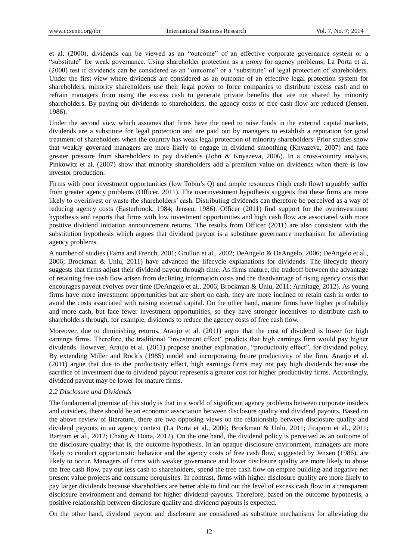et al. (2000), dividends can be viewed as an "outcome" of an effective corporate governance system or a "substitute" for weak governance. Using shareholder protection as a proxy for agency problems, La Porta et al. (2000) test if dividends can be considered as an "outcome" or a "substitute" of legal protection of shareholders. Under the first view where dividends are considered as an outcome of an effective legal protection system for shareholders, minority shareholders use their legal power to force companies to distribute excess cash and to refrain managers from using the excess cash to generate private benefits that are not shared by minority shareholders. By paying out dividends to shareholders, the agency costs of free cash flow are reduced (Jensen, 1986).

Under the second view which assumes that firms have the need to raise funds in the external capital markets, dividends are a substitute for legal protection and are paid out by managers to establish a reputation for good treatment of shareholders when the country has weak legal protection of minority shareholders. Prior studies show that weakly governed managers are more likely to engage in dividend smoothing (Knyazeva, 2007) and face greater pressure from shareholders to pay dividends (John & Knyazeva, 2006). In a cross-country analysis, Pinkowitz et al. (2007) show that minority shareholders add a premium value on dividends when there is low investor production.

Firms with poor investment opportunities (low Tobin's Q) and ample resources (high cash flow) arguably suffer from greater agency problems (Officer, 2011). The overinvestment hypothesis suggests that these firms are more likely to overinvest or waste the shareholders' cash. Distributing dividends can therefore be perceived as a way of reducing agency costs (Easterbrook, 1984; Jensen, 1986). Officer (2011) find support for the overinvestment hypothesis and reports that firms with low investment opportunities and high cash flow are associated with more positive dividend initiation announcement returns. The results from Officer (2011) are also consistent with the substitution hypothesis which argues that dividend payout is a substitute governance mechanism for alleviating agency problems.

A number of studies (Fama and French, 2001; Grullon et al., 2002; DeAngelo & DeAngelo, 2006; DeAngelo et al., 2006; Brockman & Unlu, 2011) have advanced the lifecycle explanations for dividends. The lifecycle theory suggests that firms adjust their dividend payout through time. As firms mature, the tradeoff between the advantage of retaining free cash flow arisen from declining information costs and the disadvantage of rising agency costs that encourages payout evolves over time (DeAngelo et al., 2006; Brockman & Unlu, 2011; Armitage, 2012). As young firms have more investment opportunities but are short on cash, they are more inclined to retain cash in order to avoid the costs associated with raising external capital. On the other hand, mature firms have higher profitability and more cash, but face fewer investment opportunities, so they have stronger incentives to distribute cash to shareholders through, for example, dividends to reduce the agency costs of free cash flow.

Moreover, due to diminishing returns, Araujo et al. (2011) argue that the cost of dividend is lower for high earnings firms. Therefore, the traditional "investment effect" predicts that high earnings firm would pay higher dividends. However, Araujo et al. (2011) propose another explanation, "productivity effect", for dividend policy. By extending Miller and Rock's (1985) model and incorporating future productivity of the firm, Araujo et al. (2011) argue that due to the productivity effect, high earnings firms may not pay high dividends because the sacrifice of investment due to dividend payout represents a greater cost for higher productivity firms. Accordingly, dividend payout may be lower for mature firms.

#### *2.2 Disclosure and Dividends*

The fundamental premise of this study is that in a world of significant agency problems between corporate insiders and outsiders, there should be an economic association between disclosure quality and dividend payouts. Based on the above review of literature, there are two opposing views on the relationship between disclosure quality and dividend payouts in an agency context (La Porta et al., 2000; Brockman & Unlu, 2011; Jiraporn et al., 2011; Bartram et al., 2012; Chang & Dutta, 2012). On the one hand, the dividend policy is perceived as an outcome of the disclosure quality; that is, the outcome hypothesis. In an opaque disclosure environment, managers are more likely to conduct opportunistic behavior and the agency costs of free cash flow, suggested by Jensen (1986), are likely to occur. Managers of firms with weaker governance and lower disclosure quality are more likely to abuse the free cash flow, pay out less cash to shareholders, spend the free cash flow on empire building and negative net present value projects and consume perquisites. In contrast, firms with higher disclosure quality are more likely to pay larger dividends because shareholders are better able to find out the level of excess cash flow in a transparent disclosure environment and demand for higher dividend payouts. Therefore, based on the outcome hypothesis, a positive relationship between disclosure quality and dividend payouts is expected.

On the other hand, dividend payout and disclosure are considered as substitute mechanisms for alleviating the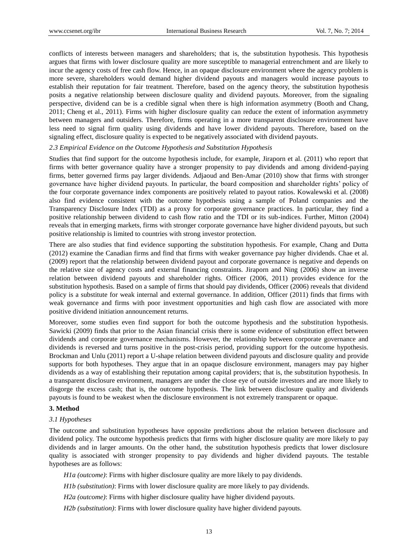conflicts of interests between managers and shareholders; that is, the substitution hypothesis. This hypothesis argues that firms with lower disclosure quality are more susceptible to managerial entrenchment and are likely to incur the agency costs of free cash flow. Hence, in an opaque disclosure environment where the agency problem is more severe, shareholders would demand higher dividend payouts and managers would increase payouts to establish their reputation for fair treatment. Therefore, based on the agency theory, the substitution hypothesis posits a negative relationship between disclosure quality and dividend payouts. Moreover, from the signaling perspective, dividend can be is a credible signal when there is high information asymmetry (Booth and Chang, 2011; Cheng et al., 2011). Firms with higher disclosure quality can reduce the extent of information asymmetry between managers and outsiders. Therefore, firms operating in a more transparent disclosure environment have less need to signal firm quality using dividends and have lower dividend payouts. Therefore, based on the signaling effect, disclosure quality is expected to be negatively associated with dividend payouts.

## *2.3 Empirical Evidence on the Outcome Hypothesis and Substitution Hypothesis*

Studies that find support for the outcome hypothesis include, for example, Jiraporn et al. (2011) who report that firms with better governance quality have a stronger propensity to pay dividends and among dividend-paying firms, better governed firms pay larger dividends. Adjaoud and Ben-Amar (2010) show that firms with stronger governance have higher dividend payouts. In particular, the board composition and shareholder rights' policy of the four corporate governance index components are positively related to payout ratios. Kowalewski et al. (2008) also find evidence consistent with the outcome hypothesis using a sample of Poland companies and the Transparency Disclosure Index (TDI) as a proxy for corporate governance practices. In particular, they find a positive relationship between dividend to cash flow ratio and the TDI or its sub-indices. Further, Mitton (2004) reveals that in emerging markets, firms with stronger corporate governance have higher dividend payouts, but such positive relationship is limited to countries with strong investor protection.

There are also studies that find evidence supporting the substitution hypothesis. For example, Chang and Dutta (2012) examine the Canadian firms and find that firms with weaker governance pay higher dividends. Chae et al. (2009) report that the relationship between dividend payout and corporate governance is negative and depends on the relative size of agency costs and external financing constraints. Jiraporn and Ning (2006) show an inverse relation between dividend payouts and shareholder rights. Officer (2006, 2011) provides evidence for the substitution hypothesis. Based on a sample of firms that should pay dividends, Officer (2006) reveals that dividend policy is a substitute for weak internal and external governance. In addition, Officer (2011) finds that firms with weak governance and firms with poor investment opportunities and high cash flow are associated with more positive dividend initiation announcement returns.

Moreover, some studies even find support for both the outcome hypothesis and the substitution hypothesis. Sawicki (2009) finds that prior to the Asian financial crisis there is some evidence of substitution effect between dividends and corporate governance mechanisms. However, the relationship between corporate governance and dividends is reversed and turns positive in the post-crisis period, providing support for the outcome hypothesis. Brockman and Unlu (2011) report a U-shape relation between dividend payouts and disclosure quality and provide supports for both hypotheses. They argue that in an opaque disclosure environment, managers may pay higher dividends as a way of establishing their reputation among capital providers; that is, the substitution hypothesis. In a transparent disclosure environment, managers are under the close eye of outside investors and are more likely to disgorge the excess cash; that is, the outcome hypothesis. The link between disclosure quality and dividends payouts is found to be weakest when the disclosure environment is not extremely transparent or opaque.

#### **3. Method**

#### *3.1 Hypotheses*

The outcome and substitution hypotheses have opposite predictions about the relation between disclosure and dividend policy. The outcome hypothesis predicts that firms with higher disclosure quality are more likely to pay dividends and in larger amounts. On the other hand, the substitution hypothesis predicts that lower disclosure quality is associated with stronger propensity to pay dividends and higher dividend payouts. The testable hypotheses are as follows:

*H1a (outcome)*: Firms with higher disclosure quality are more likely to pay dividends.

- *H1b (substitution)*: Firms with lower disclosure quality are more likely to pay dividends.
- *H2a (outcome)*: Firms with higher disclosure quality have higher dividend payouts.
- *H2b (substitution)*: Firms with lower disclosure quality have higher dividend payouts.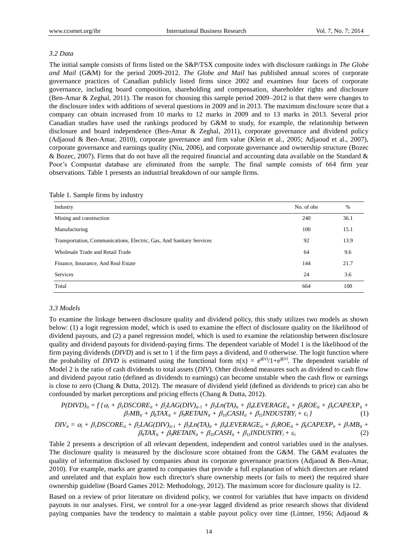#### *3.2 Data*

The initial sample consists of firms listed on the S&P/TSX composite index with disclosure rankings in *The Globe and Mail* (G&M) for the period 2009-2012. *The Globe and Mail* has published annual scores of corporate governance practices of Canadian publicly listed firms since 2002 and examines four facets of corporate governance, including board composition, shareholding and compensation, shareholder rights and disclosure (Ben-Amar & Zeghal, 2011). The reason for choosing this sample period 2009–2012 is that there were changes to the disclosure index with additions of several questions in 2009 and in 2013. The maximum disclosure score that a company can obtain increased from 10 marks to 12 marks in 2009 and to 13 marks in 2013. Several prior Canadian studies have used the rankings produced by G&M to study, for example, the relationship between disclosure and board independence (Ben-Amar & Zeghal, 2011), corporate governance and dividend policy (Adjaoud & Ben-Amar, 2010), corporate governance and firm value (Klein et al., 2005; Adjaoud et al., 2007), corporate governance and earnings quality (Niu, 2006), and corporate governance and ownership structure (Bozec & Bozec, 2007). Firms that do not have all the required financial and accounting data available on the Standard & Poor's Compustat database are eliminated from the sample. The final sample consists of 664 firm year observations. Table 1 presents an industrial breakdown of our sample firms.

| Industry                                                             | No. of obs | %    |
|----------------------------------------------------------------------|------------|------|
| Mining and construction                                              | 240        | 36.1 |
| Manufacturing                                                        | 100        | 15.1 |
| Transportation, Communications, Electric, Gas, And Sanitary Services | 92         | 13.9 |
| Wholesale Trade and Retail Trade                                     | 64         | 9.6  |
| Finance, Insurance, And Real Estate                                  | 144        | 21.7 |
| <b>Services</b>                                                      | 24         | 3.6  |
| Total                                                                | 664        | 100  |

#### *3.3 Models*

To examine the linkage between disclosure quality and dividend policy, this study utilizes two models as shown below: (1) a logit regression model, which is used to examine the effect of disclosure quality on the likelihood of dividend payouts, and (2) a panel regression model, which is used to examine the relationship between disclosure quality and dividend payouts for dividend-paying firms. The dependent variable of Model 1 is the likelihood of the firm paying dividends (*DIVD*) and is set to 1 if the firm pays a dividend, and 0 otherwise. The logit function where the probability of *DIVD* is estimated using the functional form  $\pi(x) = e^{g(x)}/1 + e^{g(x)}$ . The dependent variable of Model 2 is the ratio of cash dividends to total assets (*DIV*). Other dividend measures such as dividend to cash flow and dividend payout ratio (defined as dividends to earnings) can become unstable when the cash flow or earnings is close to zero (Chang & Dutta, 2012). The measure of dividend yield (defined as dividends to price) can also be confounded by market perceptions and pricing effects (Chang & Dutta, 2012).

$$
P(DIVD)_{it} = f \{ \alpha_i + \beta_i DSCORE_{it} + \beta_2 LAG(DIV)_{it-1} + \beta_3 Ln(TA)_{it} + \beta_4 LEVERAGE_{it} + \beta_5 ROE_{it} + \beta_6 CAPEXP_{it} + \beta_7 MB_{it} + \beta_8 TAX_{it} + \beta_9 RETAIN_{it} + \beta_{10} CASH_{it} + \beta_{11} INDUSTRY_i + \varepsilon_i \}
$$
(1)

$$
DIV_{it} = \alpha_i + \beta_i DSCORE_{it} + \beta_2 LAG(DIV)_{it-1} + \beta_3 Ln(TA)_{it} + \beta_4 LEVERAGE_{it} + \beta_5 ROE_{it} + \beta_6 CAPEXP_{it} + \beta_7 MB_{it} + \beta_8 RAX_{it} + \beta_9 RETAIN_{it} + \beta_{10} CASH_{it} + \beta_{11} INDUSTRY_i + \varepsilon_i
$$
\n(2)

Table 2 presents a description of all relevant dependent, independent and control variables used in the analyses. The disclosure quality is measured by the disclosure score obtained from the G&M. The G&M evaluates the quality of information disclosed by companies about its corporate governance practices (Adjaoud & Ben-Amar, 2010). For example, marks are granted to companies that provide a full explanation of which directors are related and unrelated and that explain how each director's share ownership meets (or fails to meet) the required share ownership guideline (Board Games 2012: Methodology, 2012). The maximum score for disclosure quality is 12.

Based on a review of prior literature on dividend policy, we control for variables that have impacts on dividend payouts in our analyses. First, we control for a one-year lagged dividend as prior research shows that dividend paying companies have the tendency to maintain a stable payout policy over time (Lintner, 1956; Adjaoud &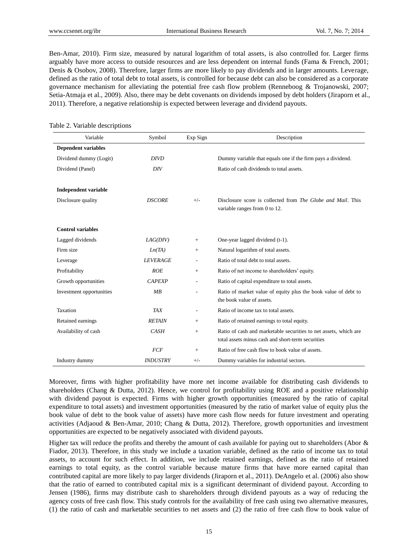Ben-Amar, 2010). Firm size, measured by natural logarithm of total assets, is also controlled for. Larger firms arguably have more access to outside resources and are less dependent on internal funds (Fama & French, 2001; Denis & Osobov, 2008). Therefore, larger firms are more likely to pay dividends and in larger amounts. Leverage, defined as the ratio of total debt to total assets, is controlled for because debt can also be considered as a corporate governance mechanism for alleviating the potential free cash flow problem (Renneboog & Trojanowski, 2007; Setia-Atmaja et al., 2009). Also, there may be debt covenants on dividends imposed by debt holders (Jiraporn et al., 2011). Therefore, a negative relationship is expected between leverage and dividend payouts.

| Variable                    | Symbol          | Exp Sign                 | Description                                                                                                           |
|-----------------------------|-----------------|--------------------------|-----------------------------------------------------------------------------------------------------------------------|
| <b>Dependent variables</b>  |                 |                          |                                                                                                                       |
| Dividend dummy (Logit)      | <i>DIVD</i>     |                          | Dummy variable that equals one if the firm pays a dividend.                                                           |
| Dividend (Panel)            | DIV             |                          | Ratio of cash dividends to total assets.                                                                              |
| <b>Independent variable</b> |                 |                          |                                                                                                                       |
| Disclosure quality          | <b>DSCORE</b>   | $+/-$                    | Disclosure score is collected from <i>The Globe and Mail</i> . This<br>variable ranges from 0 to 12.                  |
| <b>Control variables</b>    |                 |                          |                                                                                                                       |
| Lagged dividends            | LAG(DIV)        | $^{+}$                   | One-year lagged dividend (t-1).                                                                                       |
| Firm size                   | Ln(TA)          | $^{+}$                   | Natural logarithm of total assets.                                                                                    |
| Leverage                    | <b>LEVERAGE</b> | $\overline{\phantom{a}}$ | Ratio of total debt to total assets.                                                                                  |
| Profitability               | ROE             | $^{+}$                   | Ratio of net income to shareholders' equity.                                                                          |
| Growth opportunities        | <b>CAPEXP</b>   | $\overline{a}$           | Ratio of capital expenditure to total assets.                                                                         |
| Investment opportunities    | MB              |                          | Ratio of market value of equity plus the book value of debt to<br>the book value of assets.                           |
| Taxation                    | TAX             |                          | Ratio of income tax to total assets.                                                                                  |
| Retained earnings           | <b>RETAIN</b>   | $^{+}$                   | Ratio of retained earnings to total equity.                                                                           |
| Availability of cash        | CASH            | $^{+}$                   | Ratio of cash and marketable securities to net assets, which are<br>total assets minus cash and short-term securities |
|                             | <b>FCF</b>      | $+$                      | Ratio of free cash flow to book value of assets.                                                                      |
| Industry dummy              | <b>INDUSTRY</b> | $+/-$                    | Dummy variables for industrial sectors.                                                                               |

#### Table 2. Variable descriptions

Moreover, firms with higher profitability have more net income available for distributing cash dividends to shareholders (Chang & Dutta, 2012). Hence, we control for profitability using ROE and a positive relationship with dividend payout is expected. Firms with higher growth opportunities (measured by the ratio of capital expenditure to total assets) and investment opportunities (measured by the ratio of market value of equity plus the book value of debt to the book value of assets) have more cash flow needs for future investment and operating activities (Adjaoud & Ben-Amar, 2010; Chang & Dutta, 2012). Therefore, growth opportunities and investment opportunities are expected to be negatively associated with dividend payouts.

Higher tax will reduce the profits and thereby the amount of cash available for paying out to shareholders (Abor & Fiador, 2013). Therefore, in this study we include a taxation variable, defined as the ratio of income tax to total assets, to account for such effect. In addition, we include retained earnings, defined as the ratio of retained earnings to total equity, as the control variable because mature firms that have more earned capital than contributed capital are more likely to pay larger dividends (Jiraporn et al., 2011). DeAngelo et al. (2006) also show that the ratio of earned to contributed capital mix is a significant determinant of dividend payout. According to Jensen (1986), firms may distribute cash to shareholders through dividend payouts as a way of reducing the agency costs of free cash flow. This study controls for the availability of free cash using two alternative measures, (1) the ratio of cash and marketable securities to net assets and (2) the ratio of free cash flow to book value of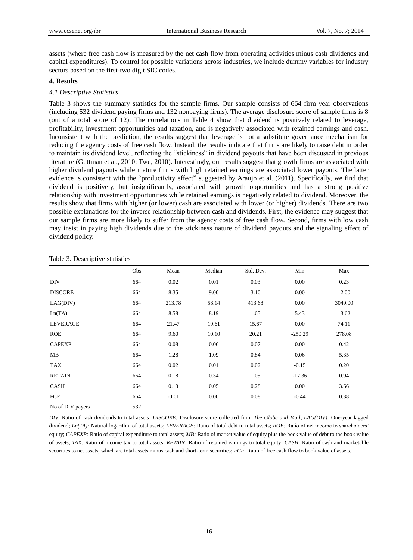assets (where free cash flow is measured by the net cash flow from operating activities minus cash dividends and capital expenditures). To control for possible variations across industries, we include dummy variables for industry sectors based on the first-two digit SIC codes.

## **4. Results**

## *4.1 Descriptive Statistics*

Table 3 shows the summary statistics for the sample firms. Our sample consists of 664 firm year observations (including 532 dividend paying firms and 132 nonpaying firms). The average disclosure score of sample firms is 8 (out of a total score of 12). The correlations in Table 4 show that dividend is positively related to leverage, profitability, investment opportunities and taxation, and is negatively associated with retained earnings and cash. Inconsistent with the prediction, the results suggest that leverage is not a substitute governance mechanism for reducing the agency costs of free cash flow. Instead, the results indicate that firms are likely to raise debt in order to maintain its dividend level, reflecting the "stickiness" in dividend payouts that have been discussed in previous literature (Guttman et al., 2010; Twu, 2010). Interestingly, our results suggest that growth firms are associated with higher dividend payouts while mature firms with high retained earnings are associated lower payouts. The latter evidence is consistent with the "productivity effect" suggested by Araujo et al. (2011). Specifically, we find that dividend is positively, but insignificantly, associated with growth opportunities and has a strong positive relationship with investment opportunities while retained earnings is negatively related to dividend. Moreover, the results show that firms with higher (or lower) cash are associated with lower (or higher) dividends. There are two possible explanations for the inverse relationship between cash and dividends. First, the evidence may suggest that our sample firms are more likely to suffer from the agency costs of free cash flow. Second, firms with low cash may insist in paying high dividends due to the stickiness nature of dividend payouts and the signaling effect of dividend policy.

|                  | Obs | Mean    | Median | Std. Dev. | Min       | Max     |
|------------------|-----|---------|--------|-----------|-----------|---------|
| <b>DIV</b>       | 664 | 0.02    | 0.01   | 0.03      | 0.00      | 0.23    |
| <b>DISCORE</b>   | 664 | 8.35    | 9.00   | 3.10      | 0.00      | 12.00   |
| LAG(DIV)         | 664 | 213.78  | 58.14  | 413.68    | 0.00      | 3049.00 |
| Ln(TA)           | 664 | 8.58    | 8.19   | 1.65      | 5.43      | 13.62   |
| <b>LEVERAGE</b>  | 664 | 21.47   | 19.61  | 15.67     | 0.00      | 74.11   |
| <b>ROE</b>       | 664 | 9.60    | 10.10  | 20.21     | $-250.29$ | 278.08  |
| <b>CAPEXP</b>    | 664 | 0.08    | 0.06   | 0.07      | 0.00      | 0.42    |
| MB               | 664 | 1.28    | 1.09   | 0.84      | 0.06      | 5.35    |
| <b>TAX</b>       | 664 | 0.02    | 0.01   | 0.02      | $-0.15$   | 0.20    |
| <b>RETAIN</b>    | 664 | 0.18    | 0.34   | 1.05      | $-17.36$  | 0.94    |
| CASH             | 664 | 0.13    | 0.05   | 0.28      | 0.00      | 3.66    |
| FCF              | 664 | $-0.01$ | 0.00   | 0.08      | $-0.44$   | 0.38    |
| No of DIV payers | 532 |         |        |           |           |         |

Table 3. Descriptive statistics

*DIV:* Ratio of cash dividends to total assets; *DISCORE:* Disclosure score collected from *The Globe and Mail*; *LAG(DIV):* One-year lagged dividend; *Ln(TA):* Natural logarithm of total assets; *LEVERAGE:* Ratio of total debt to total assets; *ROE:* Ratio of net income to shareholders' equity; *CAPEXP*: Ratio of capital expenditure to total assets; *MB*: Ratio of market value of equity plus the book value of debt to the book value of assets; *TAX:* Ratio of income tax to total assets; *RETAIN:* Ratio of retained earnings to total equity; *CASH:* Ratio of cash and marketable securities to net assets, which are total assets minus cash and short-term securities; *FCF*: Ratio of free cash flow to book value of assets.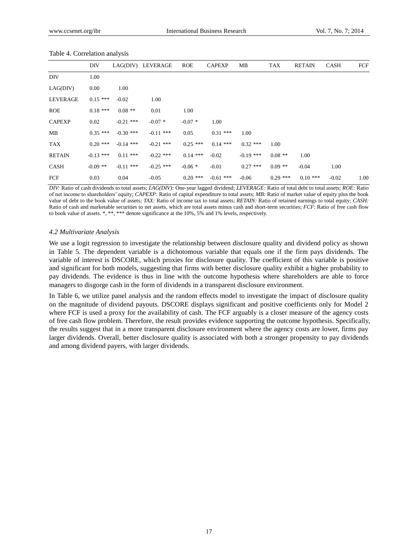|                 | <b>DIV</b>  |             | LAG(DIV) LEVERAGE | <b>ROE</b> | <b>CAPEXP</b> | MВ          | TAX        | <b>RETAIN</b> | <b>CASH</b> | FCF  |
|-----------------|-------------|-------------|-------------------|------------|---------------|-------------|------------|---------------|-------------|------|
| <b>DIV</b>      | 1.00        |             |                   |            |               |             |            |               |             |      |
| LAG(DIV)        | 0.00        | 1.00        |                   |            |               |             |            |               |             |      |
| <b>LEVERAGE</b> | $0.15***$   | $-0.02$     | 1.00              |            |               |             |            |               |             |      |
| <b>ROE</b>      | $0.18***$   | $0.08$ **   | 0.01              | 1.00       |               |             |            |               |             |      |
| <b>CAPEXP</b>   | 0.02        | $-0.21$ *** | $-0.07*$          | $-0.07*$   | 1.00          |             |            |               |             |      |
| MB              | $0.35***$   | $-0.30$ *** | $-0.11$ ***       | 0.05       | $0.31***$     | 1.00        |            |               |             |      |
| <b>TAX</b>      | $0.20$ ***  | $-0.14$ *** | $-0.21$ ***       | $0.25$ *** | $0.14***$     | $0.32$ ***  | 1.00       |               |             |      |
| <b>RETAIN</b>   | $-0.13$ *** | $0.11***$   | $-0.22$ ***       | $0.14$ *** | $-0.02$       | $-0.19$ *** | $0.08$ **  | 1.00          |             |      |
| <b>CASH</b>     | $-0.09$ **  | $-0.11$ *** | $-0.25$ ***       | $-0.06*$   | $-0.01$       | $0.27$ ***  | $0.09**$   | $-0.04$       | 1.00        |      |
| FCF             | 0.03        | 0.04        | $-0.05$           | $0.20$ *** | $-0.61$ ***   | $-0.06$     | $0.29$ *** | $0.10***$     | $-0.02$     | 1.00 |

#### Table 4. Correlation analysis

*DIV:* Ratio of cash dividends to total assets; *LAG(DIV):* One-year lagged dividend; *LEVERAGE:* Ratio of total debt to total assets; *ROE:* Ratio of net income to shareholders' equity; *CAPEXP:* Ratio of capital expenditure to total assets; *MB:* Ratio of market value of equity plus the book value of debt to the book value of assets; *TAX:* Ratio of income tax to total assets; *RETAIN:* Ratio of retained earnings to total equity; *CASH:*  Ratio of cash and marketable securities to net assets, which are total assets minus cash and short-term securities; *FCF*: Ratio of free cash flow to book value of assets. \*, \*\*, \*\*\* denote significance at the 10%, 5% and 1% levels, respectively.

#### *4.2 Multivariate Analysis*

We use a logit regression to investigate the relationship between disclosure quality and dividend policy as shown in Table 5. The dependent variable is a dichotomous variable that equals one if the firm pays dividends. The variable of interest is DSCORE, which proxies for disclosure quality. The coefficient of this variable is positive and significant for both models, suggesting that firms with better disclosure quality exhibit a higher probability to pay dividends. The evidence is thus in line with the outcome hypothesis where shareholders are able to force managers to disgorge cash in the form of dividends in a transparent disclosure environment.

In Table 6, we utilize panel analysis and the random effects model to investigate the impact of disclosure quality on the magnitude of dividend payouts. DSCORE displays significant and positive coefficients only for Model 2 where FCF is used a proxy for the availability of cash. The FCF arguably is a closer measure of the agency costs of free cash flow problem. Therefore, the result provides evidence supporting the outcome hypothesis. Specifically, the results suggest that in a more transparent disclosure environment where the agency costs are lower, firms pay larger dividends. Overall, better disclosure quality is associated with both a stronger propensity to pay dividends and among dividend payers, with larger dividends.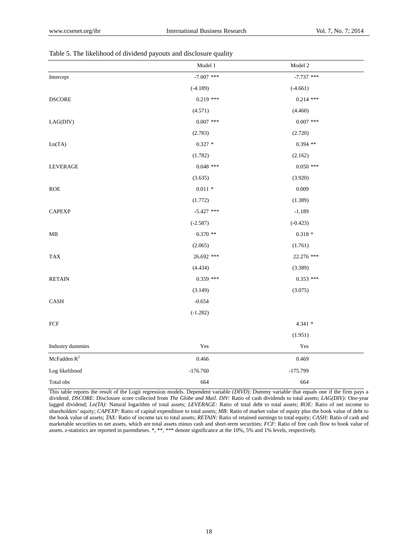|                         | Model 1      | Model 2      |
|-------------------------|--------------|--------------|
| Intercept               | $-7.007$ *** | $-7.737$ *** |
|                         | $(-4.189)$   | $(-4.661)$   |
| <b>DSCORE</b>           | $0.219$ ***  | $0.214$ ***  |
|                         | (4.571)      | (4.460)      |
| LAG(DIV)                | $0.007$ ***  | $0.007$ ***  |
|                         | (2.783)      | (2.720)      |
| Ln(TA)                  | $0.327 *$    | $0.394$ **   |
|                         | (1.782)      | (2.162)      |
| <b>LEVERAGE</b>         | $0.048$ ***  | $0.050$ ***  |
|                         | (3.635)      | (3.920)      |
| <b>ROE</b>              | $0.011 *$    | 0.009        |
|                         | (1.772)      | (1.389)      |
| <b>CAPEXP</b>           | $-5.427$ *** | $-1.189$     |
|                         | $(-2.587)$   | $(-0.423)$   |
| МB                      | $0.370$ **   | $0.318 *$    |
|                         | (2.065)      | (1.761)      |
| <b>TAX</b>              | 26.692 ***   | 22.276 ***   |
|                         | (4.434)      | (3.389)      |
| <b>RETAIN</b>           | $0.359$ ***  | $0.353$ ***  |
|                         | (3.149)      | (3.075)      |
| $\operatorname{CASH}$   | $-0.654$     |              |
|                         | $(-1.282)$   |              |
| ${\mbox{FCF}}$          |              | $4.341 *$    |
|                         |              | (1.951)      |
| Industry dummies        | Yes          | Yes          |
| McFadden $\mathbf{R}^2$ | 0.466        | 0.469        |
| Log likelihood          | $-176.760$   | $-175.799$   |
| Total obs               | 664          | 664          |

#### Table 5. The likelihood of dividend payouts and disclosure quality

This table reports the result of the Logit regression models. Dependent variable (*DIVD*): Dummy variable that equals one if the firm pays a dividend. *DSCORE*: Disclosure score collected from *The Globe and Mail*. *DIV:* Ratio of cash dividends to total assets; *LAG(DIV):* One-year lagged dividend; *Ln(TA):* Natural logarithm of total assets; *LEVERAGE:* Ratio of total debt to total assets; *ROE:* Ratio of net income to shareholders' equity; *CAPEXP:* Ratio of capital expenditure to total assets; *MB:* Ratio of market value of equity plus the book value of debt to the book value of assets; *TAX:* Ratio of income tax to total assets; *RETAIN:* Ratio of retained earnings to total equity; *CASH:* Ratio of cash and marketable securities to net assets, which are total assets minus cash and short-term securities; *FCF*: Ratio of free cash flow to book value of assets. *z*-statistics are reported in parentheses. \*, \*\*, \*\*\* denote significance at the 10%, 5% and 1% levels, respectively.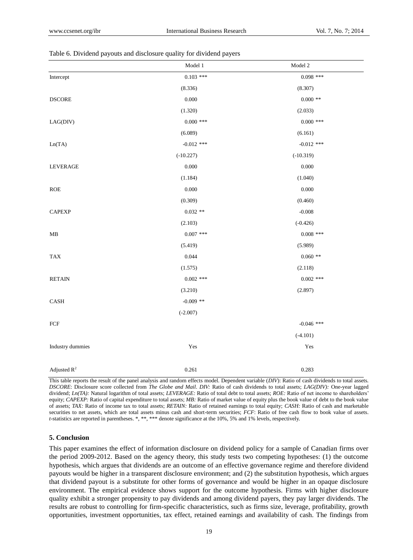|                  | $\textbf{Model}\ 1$ | Model 2      |
|------------------|---------------------|--------------|
| Intercept        | $0.103$ ***         | $0.098$ ***  |
|                  | (8.336)             | (8.307)      |
| $\sf DSCORE$     | $0.000\,$           | $0.000$ **   |
|                  | (1.320)             | (2.033)      |
| LAG(DIV)         | $0.000$ ***         | $0.000$ ***  |
|                  | (6.089)             | (6.161)      |
| Ln(TA)           | $-0.012$ ***        | $-0.012$ *** |
|                  | $(-10.227)$         | $(-10.319)$  |
| LEVERAGE         | $0.000\,$           | 0.000        |
|                  | (1.184)             | (1.040)      |
| <b>ROE</b>       | 0.000               | 0.000        |
|                  | (0.309)             | (0.460)      |
| <b>CAPEXP</b>    | $0.032**$           | $-0.008$     |
|                  | (2.103)             | $(-0.426)$   |
| MB               | $0.007$ ***         | $0.008$ ***  |
|                  | (5.419)             | (5.989)      |
| <b>TAX</b>       | 0.044               | $0.060$ **   |
|                  | (1.575)             | (2.118)      |
| <b>RETAIN</b>    | $0.002$ ***         | $0.002$ ***  |
|                  | (3.210)             | (2.897)      |
| CASH             | $-0.009$ **         |              |
|                  | $(-2.007)$          |              |
| ${\mbox{FCF}}$   |                     | $-0.046$ *** |
|                  |                     | $(-4.101)$   |
| Industry dummies | Yes                 | Yes          |
|                  |                     |              |
| Adjusted $R^2$   | 0.261               | 0.283        |

| Table 6. Dividend payouts and disclosure quality for dividend payers |  |  |  |
|----------------------------------------------------------------------|--|--|--|
|                                                                      |  |  |  |

This table reports the result of the panel analysis and random effects model. Dependent variable (*DIV*): Ratio of cash dividends to total assets. *DSCORE*: Disclosure score collected from *The Globe and Mail*. *DIV:* Ratio of cash dividends to total assets; *LAG(DIV):* One-year lagged dividend; *Ln(TA):* Natural logarithm of total assets; *LEVERAGE:* Ratio of total debt to total assets; *ROE:* Ratio of net income to shareholders' equity; *CAPEXP:* Ratio of capital expenditure to total assets; *MB:* Ratio of market value of equity plus the book value of debt to the book value of assets; *TAX:* Ratio of income tax to total assets; *RETAIN:* Ratio of retained earnings to total equity; *CASH:* Ratio of cash and marketable securities to net assets, which are total assets minus cash and short-term securities; *FCF*: Ratio of free cash flow to book value of assets. *t*-statistics are reported in parentheses. \*, \*\*, \*\*\* denote significance at the 10%, 5% and 1% levels, respectively.

## **5. Conclusion**

This paper examines the effect of information disclosure on dividend policy for a sample of Canadian firms over the period 2009-2012. Based on the agency theory, this study tests two competing hypotheses: (1) the outcome hypothesis, which argues that dividends are an outcome of an effective governance regime and therefore dividend payouts would be higher in a transparent disclosure environment; and (2) the substitution hypothesis, which argues that dividend payout is a substitute for other forms of governance and would be higher in an opaque disclosure environment. The empirical evidence shows support for the outcome hypothesis. Firms with higher disclosure quality exhibit a stronger propensity to pay dividends and among dividend payers, they pay larger dividends. The results are robust to controlling for firm-specific characteristics, such as firms size, leverage, profitability, growth opportunities, investment opportunities, tax effect, retained earnings and availability of cash. The findings from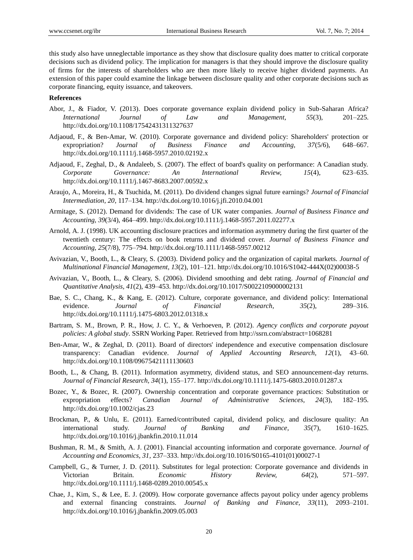this study also have unneglectable importance as they show that disclosure quality does matter to critical corporate decisions such as dividend policy. The implication for managers is that they should improve the disclosure quality of firms for the interests of shareholders who are then more likely to receive higher dividend payments. An extension of this paper could examine the linkage between disclosure quality and other corporate decisions such as corporate financing, equity issuance, and takeovers.

### **References**

- Abor, J., & Fiador, V. (2013). Does corporate governance explain dividend policy in Sub-Saharan Africa? *International Journal of Law and Management, 55*(3), 201–225. http://dx.doi.org/10.1108/17542431311327637
- Adjaoud, F., & Ben-Amar, W. (2010). Corporate governance and dividend policy: Shareholders' protection or expropriation? *Journal of Business Finance and Accounting, 37*(5/6), 648–667. http://dx.doi.org/10.1111/j.1468-5957.2010.02192.x
- Adjaoud, F., Zeghal, D., & Andaleeb, S. (2007). The effect of board's quality on performance: A Canadian study. *Corporate Governance: An International Review, 15*(4), 623–635. http://dx.doi.org/10.1111/j.1467-8683.2007.00592.x
- Araujo, A., Moreira, H., & Tsuchida, M. (2011). Do dividend changes signal future earnings? *Journal of Financial Intermediation, 20*, 117–134. http://dx.doi.org/10.1016/j.jfi.2010.04.001
- Armitage, S. (2012). Demand for dividends: The case of UK water companies. *Journal of Business Finance and Accounting, 39*(3/4), 464–499. http://dx.doi.org/10.1111/j.1468-5957.2011.02277.x
- Arnold, A. J. (1998). UK accounting disclosure practices and information asymmetry during the first quarter of the twentieth century: The effects on book returns and dividend cover. *Journal of Business Finance and Accounting, 25*(7/8), 775–794. http://dx.doi.org/10.1111/1468-5957.00212
- Avivazian, V., Booth, L., & Cleary, S. (2003). Dividend policy and the organization of capital markets. *Journal of Multinational Financial Management, 13*(2), 101–121. http://dx.doi.org/10.1016/S1042-444X(02)00038-5
- Avivazian, V., Booth, L., & Cleary, S. (2006). Dividend smoothing and debt rating. *Journal of Financial and Quantitative Analysis, 41*(2), 439–453. http://dx.doi.org/10.1017/S0022109000002131
- Bae, S. C., Chang, K., & Kang, E. (2012). Culture, corporate governance, and dividend policy: International evidence. *Journal of Financial Research, 35*(2), 289–316. http://dx.doi.org/10.1111/j.1475-6803.2012.01318.x
- Bartram, S. M., Brown, P. R., How, J. C. Y., & Verhoeven, P. (2012). *Agency conflicts and corporate payout policies: A global study*. SSRN Working Paper. Retrieved from http://ssrn.com/abstract=1068281
- Ben-Amar, W., & Zeghal, D. (2011). Board of directors' independence and executive compensation disclosure transparency: Canadian evidence. *Journal of Applied Accounting Research, 12*(1), 43–60. http://dx.doi.org/10.1108/09675421111130603
- Booth, L., & Chang, B. (2011). Information asymmetry, dividend status, and SEO announcement-day returns. *Journal of Financial Research, 34*(1), 155–177. http://dx.doi.org/10.1111/j.1475-6803.2010.01287.x
- Bozec, Y., & Bozec, R. (2007). Ownership concentration and corporate governance practices: Substitution or expropriation effects? *Canadian Journal of Administrative Sciences, 24*(3), 182–195. http://dx.doi.org/10.1002/cjas.23
- Brockman, P., & Unlu, E. (2011). Earned/contributed capital, dividend policy, and disclosure quality: An international study. *Journal of Banking and Finance, 35*(7), 1610–1625. http://dx.doi.org/10.1016/j.jbankfin.2010.11.014
- Bushman, R. M., & Smith, A. J. (2001). Financial accounting information and corporate governance. *Journal of Accounting and Economics, 31*, 237–333. http://dx.doi.org/10.1016/S0165-4101(01)00027-1
- Campbell, G., & Turner, J. D. (2011). Substitutes for legal protection: Corporate governance and dividends in Victorian Britain. *Economic History Review, 64*(2), 571–597. http://dx.doi.org/10.1111/j.1468-0289.2010.00545.x
- Chae, J., Kim, S., & Lee, E. J. (2009). How corporate governance affects payout policy under agency problems and external financing constraints. *Journal of Banking and Finance, 33*(11), 2093–2101. http://dx.doi.org/10.1016/j.jbankfin.2009.05.003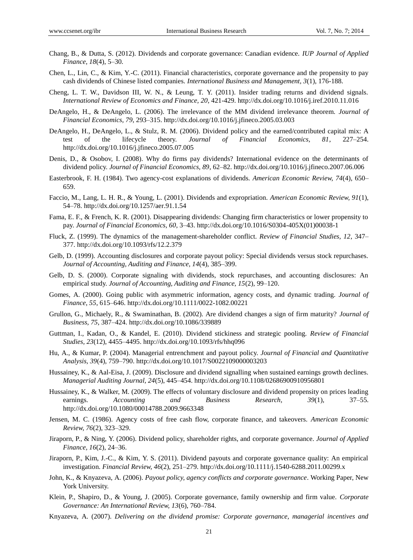- Chang, B., & Dutta, S. (2012). Dividends and corporate governance: Canadian evidence. *IUP Journal of Applied Finance, 18*(4), 5–30.
- Chen, L., Lin, C., & Kim, Y.-C. (2011). Financial characteristics, corporate governance and the propensity to pay cash dividends of Chinese listed companies. *International Business and Management, 3*(1), 176-188.
- Cheng, L. T. W., Davidson III, W. N., & Leung, T. Y. (2011). Insider trading returns and dividend signals. *International Review of Economics and Finance, 20*, 421-429. http://dx.doi.org/10.1016/j.iref.2010.11.016
- DeAngelo, H., & DeAngelo, L. (2006). The irrelevance of the MM dividend irrelevance theorem. *Journal of Financial Economics, 79*, 293–315. http://dx.doi.org/10.1016/j.jfineco.2005.03.003
- DeAngelo, H., DeAngelo, L., & Stulz, R. M. (2006). Dividend policy and the earned/contributed capital mix: A test of the lifecycle theory. *Journal of Financial Economics, 81*, 227–254. http://dx.doi.org/10.1016/j.jfineco.2005.07.005
- Denis, D., & Osobov, I. (2008). Why do firms pay dividends? International evidence on the determinants of dividend policy. *Journal of Financial Economics, 89*, 62–82. http://dx.doi.org/10.1016/j.jfineco.2007.06.006
- Easterbrook, F. H. (1984). Two agency-cost explanations of dividends. *American Economic Review, 74*(4), 650– 659.
- Faccio, M., Lang, L. H. R., & Young, L. (2001). Dividends and expropriation. *American Economic Review, 91*(1), 54–78. http://dx.doi.org/10.1257/aer.91.1.54
- Fama, E. F., & French, K. R. (2001). Disappearing dividends: Changing firm characteristics or lower propensity to pay. *Journal of Financial Economics, 60*, 3–43. http://dx.doi.org/10.1016/S0304-405X(01)00038-1
- Fluck, Z. (1999). The dynamics of the management-shareholder conflict. *Review of Financial Studies, 12*, 347– 377. http://dx.doi.org/10.1093/rfs/12.2.379
- Gelb, D. (1999). Accounting disclosures and corporate payout policy: Special dividends versus stock repurchases. *Journal of Accounting, Auditing and Finance, 14*(4), 385–399.
- Gelb, D. S. (2000). Corporate signaling with dividends, stock repurchases, and accounting disclosures: An empirical study. *Journal of Accounting, Auditing and Finance, 15*(2), 99–120.
- Gomes, A. (2000). Going public with asymmetric information, agency costs, and dynamic trading. *Journal of Finance, 55*, 615–646. http://dx.doi.org/10.1111/0022-1082.00221
- Grullon, G., Michaely, R., & Swaminathan, B. (2002). Are dividend changes a sign of firm maturity? *Journal of Business, 75*, 387–424. http://dx.doi.org/10.1086/339889
- Guttman, I., Kadan, O., & Kandel, E. (2010). Dividend stickiness and strategic pooling. *Review of Financial Studies, 23*(12), 4455–4495. http://dx.doi.org/10.1093/rfs/hhq096
- Hu, A., & Kumar, P. (2004). Managerial entrenchment and payout policy. *Journal of Financial and Quantitative Analysis, 39*(4), 759–790. http://dx.doi.org/10.1017/S0022109000003203
- Hussainey, K., & Aal-Eisa, J. (2009). Disclosure and dividend signalling when sustained earnings growth declines. *Managerial Auditing Journal, 24*(5), 445–454. http://dx.doi.org/10.1108/02686900910956801
- Hussainey, K., & Walker, M. (2009). The effects of voluntary disclosure and dividend propensity on prices leading earnings. *Accounting and Business Research, 39*(1), 37–55. http://dx.doi.org/10.1080/00014788.2009.9663348
- Jensen, M. C. (1986). Agency costs of free cash flow, corporate finance, and takeovers. *American Economic Review, 76*(2), 323–329.
- Jiraporn, P., & Ning, Y. (2006). Dividend policy, shareholder rights, and corporate governance. *Journal of Applied Finance, 16*(2), 24–36.
- Jiraporn, P., Kim, J.-C., & Kim, Y. S. (2011). Dividend payouts and corporate governance quality: An empirical investigation. *Financial Review, 46*(2), 251–279. http://dx.doi.org/10.1111/j.1540-6288.2011.00299.x
- John, K., & Knyazeva, A. (2006). *Payout policy, agency conflicts and corporate governance*. Working Paper, New York University.
- Klein, P., Shapiro, D., & Young, J. (2005). Corporate governance, family ownership and firm value. *Corporate Governance: An International Review, 13*(6), 760–784.
- Knyazeva, A. (2007). *Delivering on the dividend promise: Corporate governance, managerial incentives and*